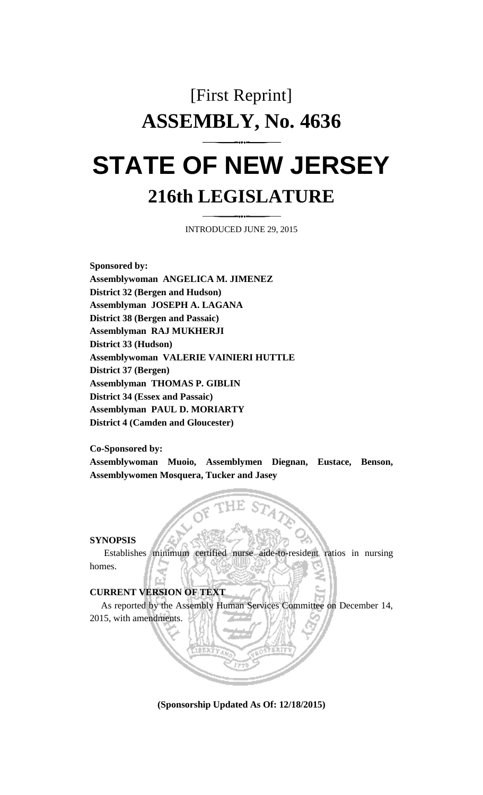## [First Reprint] **ASSEMBLY, No. 4636 STATE OF NEW JERSEY**

# **216th LEGISLATURE**

INTRODUCED JUNE 29, 2015

**Sponsored by: Assemblywoman ANGELICA M. JIMENEZ District 32 (Bergen and Hudson) Assemblyman JOSEPH A. LAGANA District 38 (Bergen and Passaic) Assemblyman RAJ MUKHERJI District 33 (Hudson) Assemblywoman VALERIE VAINIERI HUTTLE District 37 (Bergen) Assemblyman THOMAS P. GIBLIN District 34 (Essex and Passaic) Assemblyman PAUL D. MORIARTY District 4 (Camden and Gloucester)**

**Co-Sponsored by:**

**Assemblywoman Muoio, Assemblymen Diegnan, Eustace, Benson, Assemblywomen Mosquera, Tucker and Jasey**

#### **SYNOPSIS**

Establishes minimum certified nurse aide-to-resident ratios in nursing homes.

#### **CURRENT VERSION OF TEXT**

As reported by the Assembly Human Services Committee on December 14, 2015, with amendments.

**(Sponsorship Updated As Of: 12/18/2015)**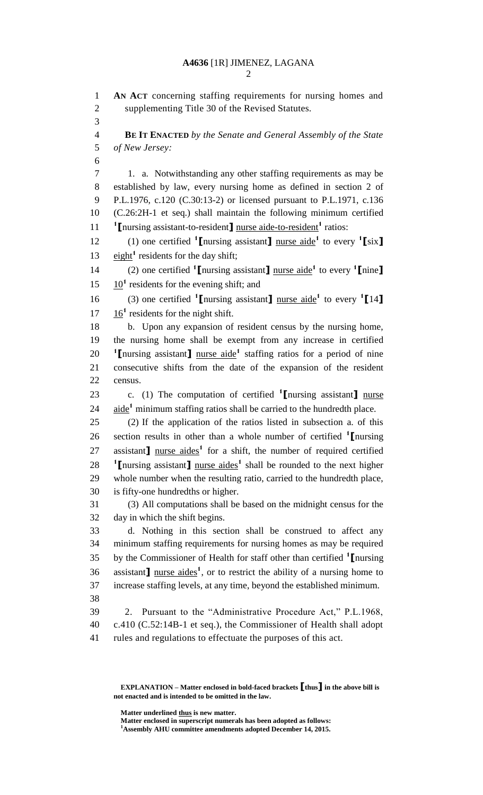### **A4636** [1R] JIMENEZ, LAGANA

 **AN ACT** concerning staffing requirements for nursing homes and supplementing Title 30 of the Revised Statutes. **BE IT ENACTED** *by the Senate and General Assembly of the State of New Jersey:* 1. a. Notwithstanding any other staffing requirements as may be established by law, every nursing home as defined in section 2 of P.L.1976, c.120 (C.30:13-2) or licensed pursuant to P.L.1971, c.136 (C.26:2H-1 et seq.) shall maintain the following minimum certified 11 <sup>1</sup> [nursing assistant-to-resident] nurse aide-to-resident<sup>1</sup> ratios: (1) one certified **<sup>1</sup> [**nursing assistant**]** nurse aide**<sup>1</sup>** to every **<sup>1</sup> [**six**]** 13  $eight<sup>1</sup>$  residents for the day shift; (2) one certified **<sup>1</sup> [**nursing assistant**]** nurse aide**<sup>1</sup>** to every **<sup>1</sup> [**nine**]**  $15 \frac{10^1}{2}$  residents for the evening shift; and (3) one certified **<sup>1</sup> [**nursing assistant**]** nurse aide**<sup>1</sup>** to every **<sup>1</sup> [**14**]**  $17 \frac{16}{1}$  residents for the night shift. b. Upon any expansion of resident census by the nursing home, the nursing home shall be exempt from any increase in certified 20 <sup>1</sup>Inursing assistant<sub>1</sub> nurse aide<sup>1</sup> staffing ratios for a period of nine consecutive shifts from the date of the expansion of the resident census. c. (1) The computation of certified **<sup>1</sup> [**nursing assistant**]** nurse 24 aide<sup>1</sup> minimum staffing ratios shall be carried to the hundredth place. (2) If the application of the ratios listed in subsection a. of this section results in other than a whole number of certified **<sup>1</sup> [**nursing 27 assistant<sub>1</sub> nurse aides<sup>1</sup> for a shift, the number of required certified **1** Inursing assistant nurse aides<sup>1</sup> shall be rounded to the next higher whole number when the resulting ratio, carried to the hundredth place, is fifty-one hundredths or higher. (3) All computations shall be based on the midnight census for the day in which the shift begins. d. Nothing in this section shall be construed to affect any minimum staffing requirements for nursing homes as may be required by the Commissioner of Health for staff other than certified **<sup>1</sup> [**nursing 36 assistant<sub>1</sub> nurse aides<sup>1</sup>, or to restrict the ability of a nursing home to increase staffing levels, at any time, beyond the established minimum. 2. Pursuant to the "Administrative Procedure Act," P.L.1968, c.410 (C.52:14B-1 et seq.), the Commissioner of Health shall adopt rules and regulations to effectuate the purposes of this act.

**Matter underlined thus is new matter.**

**Matter enclosed in superscript numerals has been adopted as follows: Assembly AHU committee amendments adopted December 14, 2015.**

**EXPLANATION – Matter enclosed in bold-faced brackets [thus] in the above bill is not enacted and is intended to be omitted in the law.**